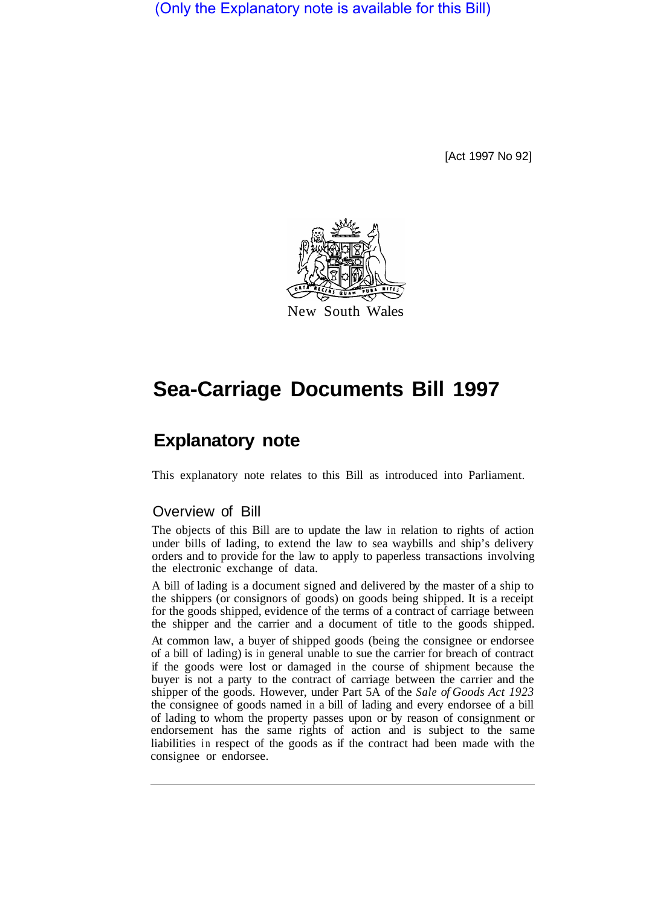(Only the Explanatory note is available for this Bill)

[Act 1997 No 92]



# **Sea-Carriage Documents Bill 1997**

# **Explanatory note**

This explanatory note relates to this Bill as introduced into Parliament.

# Overview of Bill

The objects of this Bill are to update the law in relation to rights of action under bills of lading, to extend the law to sea waybills and ship's delivery orders and to provide for the law to apply to paperless transactions involving the electronic exchange of data.

A bill of lading is a document signed and delivered by the master of a ship to the shippers (or consignors of goods) on goods being shipped. It is a receipt for the goods shipped, evidence of the terms of a contract of carriage between the shipper and the carrier and a document of title to the goods shipped.

At common law, a buyer of shipped goods (being the consignee or endorsee of a bill of lading) is in general unable to sue the carrier for breach of contract if the goods were lost or damaged in the course of shipment because the buyer is not a party to the contract of carriage between the carrier and the shipper of the goods. However, under Part 5A of the *Sale of Goods Act 1923*  the consignee of goods named in a bill of lading and every endorsee of a bill of lading to whom the property passes upon or by reason of consignment or endorsement has the same rights of action and is subject to the same liabilities in respect of the goods as if the contract had been made with the consignee or endorsee.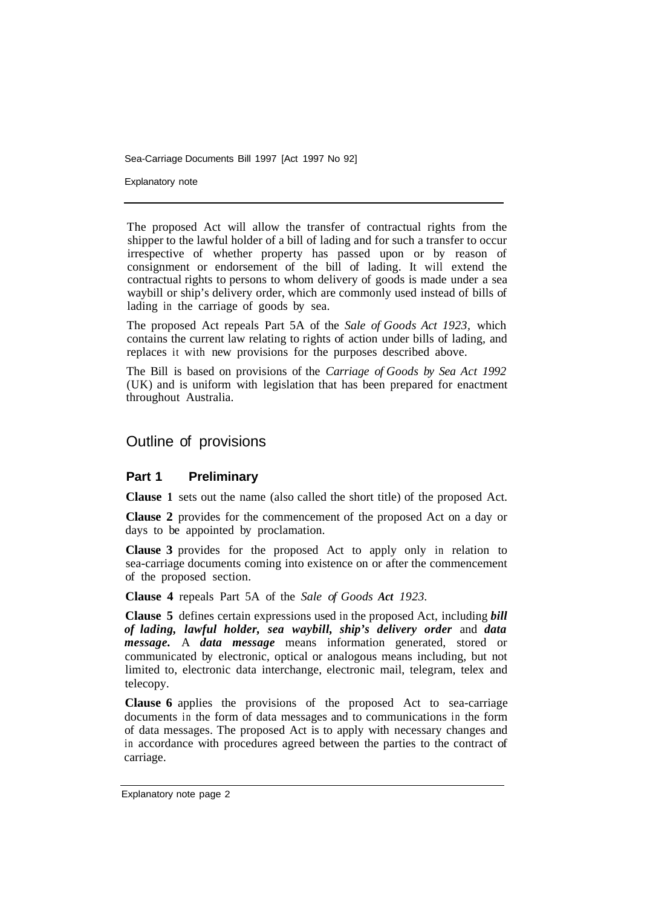Sea-Carriage Documents Bill 1997 [Act 1997 No 92]

Explanatory note

The proposed Act will allow the transfer of contractual rights from the shipper to the lawful holder of a bill of lading and for such a transfer to occur irrespective of whether property has passed upon or by reason of consignment or endorsement of the bill of lading. It will extend the contractual rights to persons to whom delivery of goods is made under a sea waybill or ship's delivery order, which are commonly used instead of bills of lading in the carriage of goods by sea.

The proposed Act repeals Part 5A of the *Sale of Goods Act 1923,* which contains the current law relating to rights of action under bills of lading, and replaces it with new provisions for the purposes described above.

The Bill is based on provisions of the *Carriage of Goods by Sea Act 1992*  (UK) and is uniform with legislation that has been prepared for enactment throughout Australia.

#### Outline of provisions

#### **Part 1 Preliminary**

**Clause 1** sets out the name (also called the short title) of the proposed Act.

**Clause 2** provides for the commencement of the proposed Act on a day or days to be appointed by proclamation.

**Clause 3** provides for the proposed Act to apply only in relation to sea-carriage documents coming into existence on or after the commencement of the proposed section.

**Clause 4** repeals Part 5A of the *Sale of Goods Act 1923.* 

**Clause 5** defines certain expressions used in the proposed Act, including *bill of lading, lawful holder, sea waybill, ship's delivery order* and *data message.* A *data message* means information generated, stored or communicated by electronic, optical or analogous means including, but not limited to, electronic data interchange, electronic mail, telegram, telex and telecopy.

**Clause 6** applies the provisions of the proposed Act to sea-carriage documents in the form of data messages and to communications in the form of data messages. The proposed Act is to apply with necessary changes and in accordance with procedures agreed between the parties to the contract of carriage.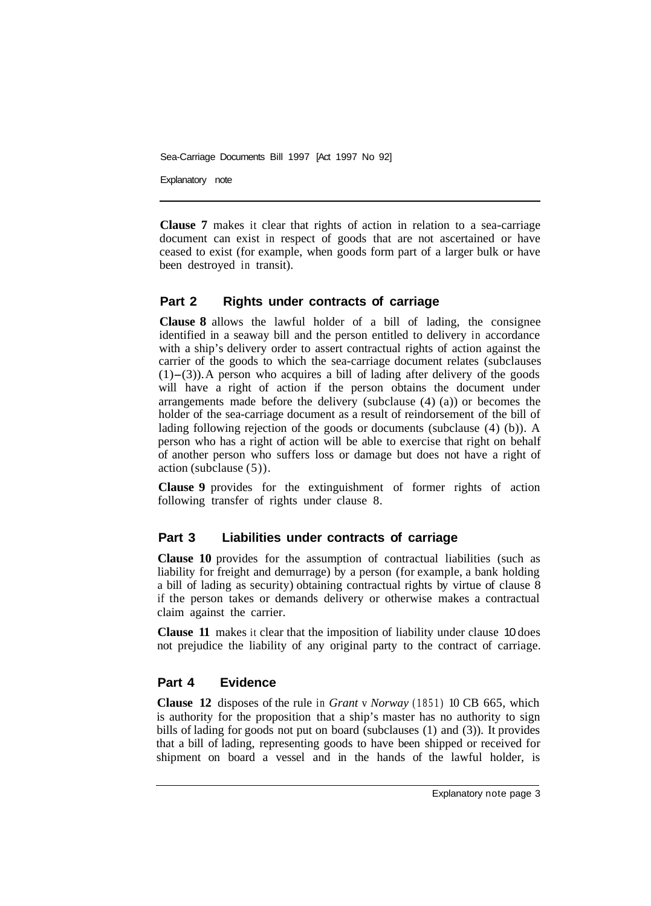Sea-Carriage Documents Bill 1997 [Act 1997 No 92]

Explanatory note

**Clause 7** makes it clear that rights of action in relation to a sea-carriage document can exist in respect of goods that are not ascertained or have ceased to exist (for example, when goods form part of a larger bulk or have been destroyed in transit).

#### **Part 2 Rights under contracts of carriage**

**Clause 8** allows the lawful holder of a bill of lading, the consignee identified in a seaway bill and the person entitled to delivery in accordance with a ship's delivery order to assert contractual rights of action against the carrier of the goods to which the sea-carriage document relates (subclauses  $(1)$ –(3)). A person who acquires a bill of lading after delivery of the goods will have a right of action if the person obtains the document under arrangements made before the delivery (subclause (4) (a)) or becomes the holder of the sea-carriage document as a result of reindorsement of the bill of lading following rejection of the goods or documents (subclause (4) (b)). A person who has a right of action will be able to exercise that right on behalf of another person who suffers loss or damage but does not have a right of action (subclause (5)).

**Clause 9** provides for the extinguishment of former rights of action following transfer of rights under clause 8.

## **Part 3 Liabilities under contracts of carriage**

**Clause 10** provides for the assumption of contractual liabilities (such as liability for freight and demurrage) by a person (for example, a bank holding a bill of lading as security) obtaining contractual rights by virtue of clause 8 if the person takes or demands delivery or otherwise makes a contractual claim against the carrier.

**Clause 11** makes it clear that the imposition of liability under clause 10 does not prejudice the liability of any original party to the contract of carriage.

## **Part 4 Evidence**

**Clause 12** disposes of the rule in *Grant* v *Norway* (1851) 10 CB 665, which is authority for the proposition that a ship's master has no authority to sign bills of lading for goods not put on board (subclauses (1) and (3)). It provides that a bill of lading, representing goods to have been shipped or received for shipment on board a vessel and in the hands of the lawful holder, is